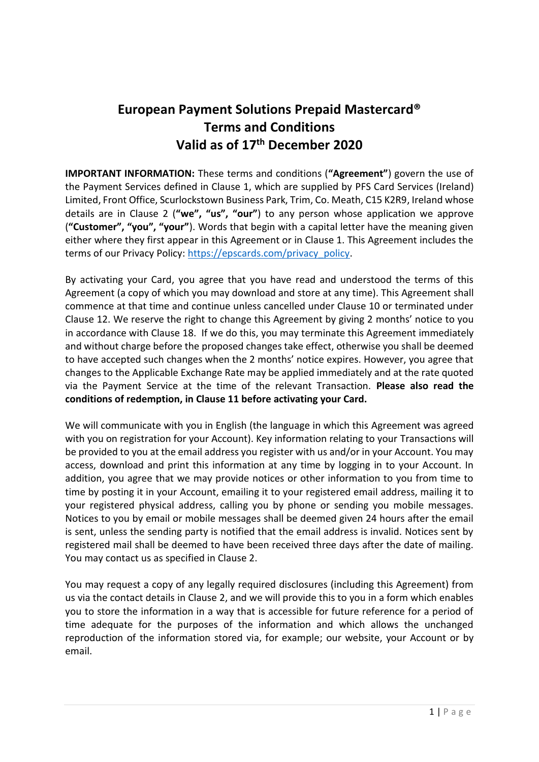# **European Payment Solutions Prepaid Mastercard® Terms and Conditions Valid as of 17th December 2020**

**IMPORTANT INFORMATION:** These terms and conditions (**"Agreement"**) govern the use of the Payment Services defined in Clause 1, which are supplied by PFS Card Services (Ireland) Limited, Front Office, Scurlockstown Business Park, Trim, Co. Meath, C15 K2R9, Ireland whose details are in Clause 2 (**"we", "us", "our"**) to any person whose application we approve (**"Customer", "you", "your"**). Words that begin with a capital letter have the meaning given either where they first appear in this Agreement or in Clause 1. This Agreement includes the terms of our Privacy Policy: [https://epscards.com/privacy\\_policy.](https://epscards.com/privacy_policy)

By activating your Card, you agree that you have read and understood the terms of this Agreement (a copy of which you may download and store at any time). This Agreement shall commence at that time and continue unless cancelled under Clause 10 or terminated under Clause 12. We reserve the right to change this Agreement by giving 2 months' notice to you in accordance with Clause 18. If we do this, you may terminate this Agreement immediately and without charge before the proposed changes take effect, otherwise you shall be deemed to have accepted such changes when the 2 months' notice expires. However, you agree that changes to the Applicable Exchange Rate may be applied immediately and at the rate quoted via the Payment Service at the time of the relevant Transaction. **Please also read the conditions of redemption, in Clause 11 before activating your Card.**

We will communicate with you in English (the language in which this Agreement was agreed with you on registration for your Account). Key information relating to your Transactions will be provided to you at the email address you register with us and/or in your Account. You may access, download and print this information at any time by logging in to your Account. In addition, you agree that we may provide notices or other information to you from time to time by posting it in your Account, emailing it to your registered email address, mailing it to your registered physical address, calling you by phone or sending you mobile messages. Notices to you by email or mobile messages shall be deemed given 24 hours after the email is sent, unless the sending party is notified that the email address is invalid. Notices sent by registered mail shall be deemed to have been received three days after the date of mailing. You may contact us as specified in Clause 2.

You may request a copy of any legally required disclosures (including this Agreement) from us via the contact details in Clause 2, and we will provide this to you in a form which enables you to store the information in a way that is accessible for future reference for a period of time adequate for the purposes of the information and which allows the unchanged reproduction of the information stored via, for example; our website, your Account or by email.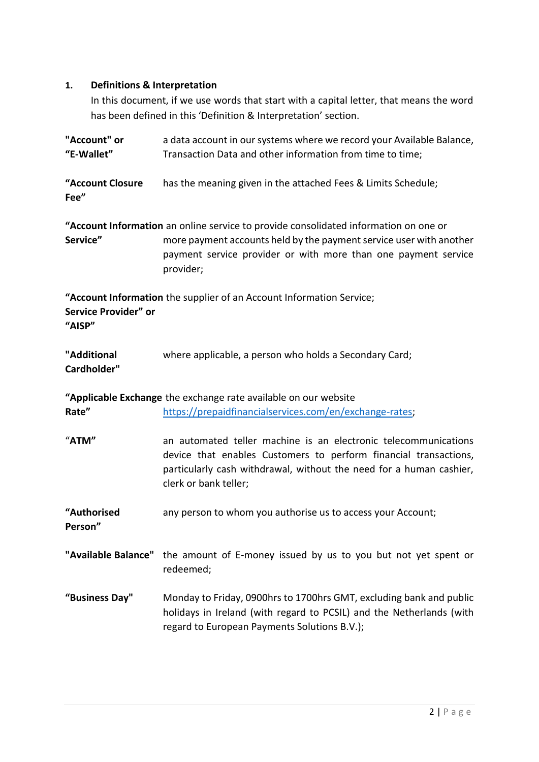## **1. Definitions & Interpretation**

In this document, if we use words that start with a capital letter, that means the word has been defined in this 'Definition & Interpretation' section.

| "Account" or<br>"E-Wallet"     | a data account in our systems where we record your Available Balance,<br>Transaction Data and other information from time to time;                                                                                                         |
|--------------------------------|--------------------------------------------------------------------------------------------------------------------------------------------------------------------------------------------------------------------------------------------|
| "Account Closure<br>Fee"       | has the meaning given in the attached Fees & Limits Schedule;                                                                                                                                                                              |
| Service"                       | "Account Information an online service to provide consolidated information on one or<br>more payment accounts held by the payment service user with another<br>payment service provider or with more than one payment service<br>provider; |
| Service Provider" or<br>"AISP" | "Account Information the supplier of an Account Information Service;                                                                                                                                                                       |
| "Additional<br>Cardholder"     | where applicable, a person who holds a Secondary Card;                                                                                                                                                                                     |
|                                | "Applicable Exchange the exchange rate available on our website                                                                                                                                                                            |
| Rate"                          | https://prepaidfinancialservices.com/en/exchange-rates;                                                                                                                                                                                    |
| "ATM"                          | an automated teller machine is an electronic telecommunications<br>device that enables Customers to perform financial transactions,<br>particularly cash withdrawal, without the need for a human cashier,<br>clerk or bank teller;        |
| "Authorised<br>Person"         | any person to whom you authorise us to access your Account;                                                                                                                                                                                |
|                                | "Available Balance" the amount of E-money issued by us to you but not yet spent or<br>redeemed;                                                                                                                                            |
| "Business Day"                 | Monday to Friday, 0900hrs to 1700hrs GMT, excluding bank and public<br>holidays in Ireland (with regard to PCSIL) and the Netherlands (with<br>regard to European Payments Solutions B.V.);                                                |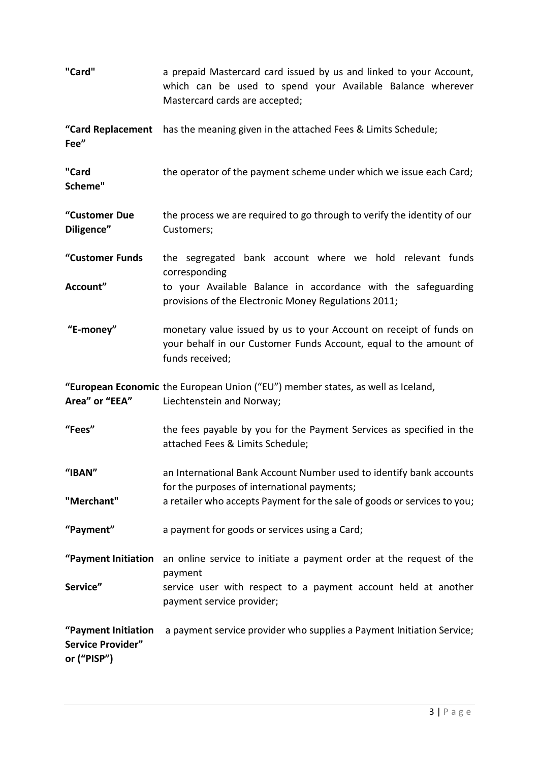| "Card"                                                         | a prepaid Mastercard card issued by us and linked to your Account,<br>which can be used to spend your Available Balance wherever<br>Mastercard cards are accepted; |
|----------------------------------------------------------------|--------------------------------------------------------------------------------------------------------------------------------------------------------------------|
| Fee"                                                           | "Card Replacement has the meaning given in the attached Fees & Limits Schedule;                                                                                    |
| "Card<br>Scheme"                                               | the operator of the payment scheme under which we issue each Card;                                                                                                 |
| "Customer Due<br>Diligence"                                    | the process we are required to go through to verify the identity of our<br>Customers;                                                                              |
| "Customer Funds                                                | the segregated bank account where we hold relevant funds<br>corresponding                                                                                          |
| Account"                                                       | to your Available Balance in accordance with the safeguarding<br>provisions of the Electronic Money Regulations 2011;                                              |
| "E-money"                                                      | monetary value issued by us to your Account on receipt of funds on<br>your behalf in our Customer Funds Account, equal to the amount of<br>funds received;         |
| Area" or "EEA"                                                 | "European Economic the European Union ("EU") member states, as well as Iceland,<br>Liechtenstein and Norway;                                                       |
| "Fees"                                                         | the fees payable by you for the Payment Services as specified in the<br>attached Fees & Limits Schedule;                                                           |
| "IBAN"                                                         | an International Bank Account Number used to identify bank accounts<br>for the purposes of international payments;                                                 |
| "Merchant"                                                     | a retailer who accepts Payment for the sale of goods or services to you;                                                                                           |
| "Payment"                                                      | a payment for goods or services using a Card;                                                                                                                      |
| "Payment Initiation                                            | an online service to initiate a payment order at the request of the<br>payment                                                                                     |
| Service"                                                       | service user with respect to a payment account held at another<br>payment service provider;                                                                        |
| "Payment Initiation<br><b>Service Provider"</b><br>or ("PISP") | a payment service provider who supplies a Payment Initiation Service;                                                                                              |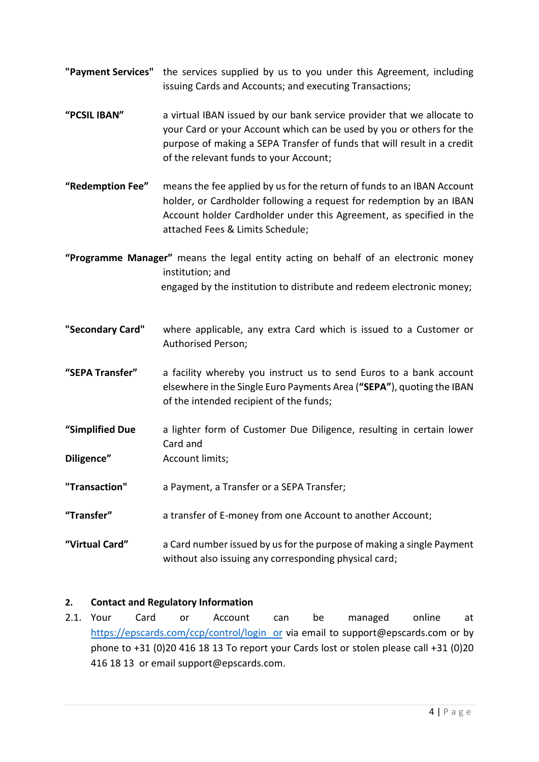- **"Payment Services"** the services supplied by us to you under this Agreement, including issuing Cards and Accounts; and executing Transactions;
- **"PCSIL IBAN"** a virtual IBAN issued by our bank service provider that we allocate to your Card or your Account which can be used by you or others for the purpose of making a SEPA Transfer of funds that will result in a credit of the relevant funds to your Account;
- **"Redemption Fee"** means the fee applied by us for the return of funds to an IBAN Account holder, or Cardholder following a request for redemption by an IBAN Account holder Cardholder under this Agreement, as specified in the attached Fees & Limits Schedule;
- **"Programme Manager"** means the legal entity acting on behalf of an electronic money institution; and engaged by the institution to distribute and redeem electronic money;
- **"Secondary Card"** where applicable, any extra Card which is issued to a Customer or Authorised Person;
- **"SEPA Transfer"** a facility whereby you instruct us to send Euros to a bank account elsewhere in the Single Euro Payments Area (**"SEPA"**), quoting the IBAN of the intended recipient of the funds;
- **"Simplified Due** a lighter form of Customer Due Diligence, resulting in certain lower Card and
- **Diligence"** Account limits;
- **"Transaction"** a Payment, a Transfer or a SEPA Transfer;
- **"Transfer"** a transfer of E-money from one Account to another Account;
- **"Virtual Card"** a Card number issued by us for the purpose of making a single Payment without also issuing any corresponding physical card;

## **2. Contact and Regulatory Information**

2.1. Your Card or Account can be managed online at https://epscards.com/ccp/control/login or via email to support@epscards.com or by phone to +31 (0)20 416 18 13 To report your Cards lost or stolen please call +31 (0)20 416 18 13 or email support@epscards.com.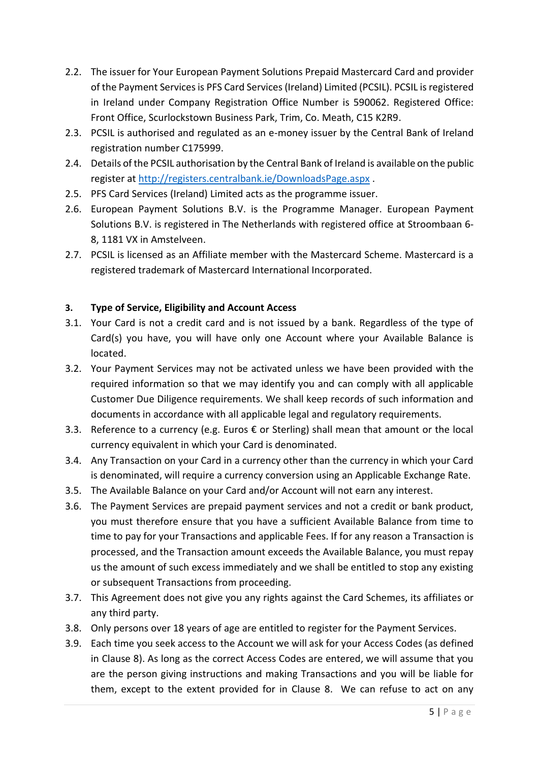- 2.2. The issuer for Your European Payment Solutions Prepaid Mastercard Card and provider of the Payment Services is PFS Card Services (Ireland) Limited (PCSIL). PCSIL is registered in Ireland under Company Registration Office Number is 590062. Registered Office: Front Office, Scurlockstown Business Park, Trim, Co. Meath, C15 K2R9.
- 2.3. PCSIL is authorised and regulated as an e-money issuer by the Central Bank of Ireland registration number C175999.
- 2.4. Details of the PCSIL authorisation by the Central Bank of Ireland is available on the public register at<http://registers.centralbank.ie/DownloadsPage.aspx> .
- 2.5. PFS Card Services (Ireland) Limited acts as the programme issuer.
- 2.6. European Payment Solutions B.V. is the Programme Manager. European Payment Solutions B.V. is registered in The Netherlands with registered office at Stroombaan 6- 8, 1181 VX in Amstelveen.
- 2.7. PCSIL is licensed as an Affiliate member with the Mastercard Scheme. Mastercard is a registered trademark of Mastercard International Incorporated.

#### **3. Type of Service, Eligibility and Account Access**

- 3.1. Your Card is not a credit card and is not issued by a bank. Regardless of the type of Card(s) you have, you will have only one Account where your Available Balance is located.
- 3.2. Your Payment Services may not be activated unless we have been provided with the required information so that we may identify you and can comply with all applicable Customer Due Diligence requirements. We shall keep records of such information and documents in accordance with all applicable legal and regulatory requirements.
- 3.3. Reference to a currency (e.g. Euros  $€$  or Sterling) shall mean that amount or the local currency equivalent in which your Card is denominated.
- 3.4. Any Transaction on your Card in a currency other than the currency in which your Card is denominated, will require a currency conversion using an Applicable Exchange Rate.
- 3.5. The Available Balance on your Card and/or Account will not earn any interest.
- 3.6. The Payment Services are prepaid payment services and not a credit or bank product, you must therefore ensure that you have a sufficient Available Balance from time to time to pay for your Transactions and applicable Fees. If for any reason a Transaction is processed, and the Transaction amount exceeds the Available Balance, you must repay us the amount of such excess immediately and we shall be entitled to stop any existing or subsequent Transactions from proceeding.
- 3.7. This Agreement does not give you any rights against the Card Schemes, its affiliates or any third party.
- 3.8. Only persons over 18 years of age are entitled to register for the Payment Services.
- 3.9. Each time you seek access to the Account we will ask for your Access Codes (as defined in Clause 8). As long as the correct Access Codes are entered, we will assume that you are the person giving instructions and making Transactions and you will be liable for them, except to the extent provided for in Clause 8. We can refuse to act on any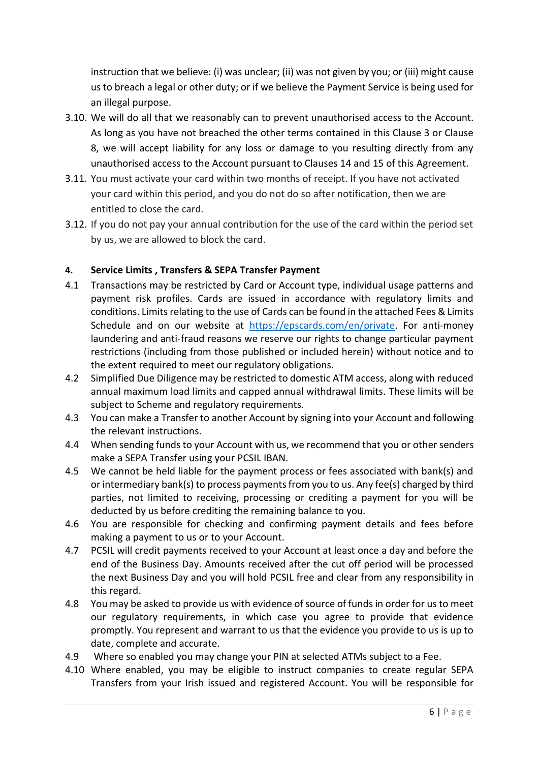instruction that we believe: (i) was unclear; (ii) was not given by you; or (iii) might cause us to breach a legal or other duty; or if we believe the Payment Service is being used for an illegal purpose.

- 3.10. We will do all that we reasonably can to prevent unauthorised access to the Account. As long as you have not breached the other terms contained in this Clause 3 or Clause 8, we will accept liability for any loss or damage to you resulting directly from any unauthorised access to the Account pursuant to Clauses 14 and 15 of this Agreement.
- 3.11. You must activate your card within two months of receipt. If you have not activated your card within this period, and you do not do so after notification, then we are entitled to close the card.
- 3.12. If you do not pay your annual contribution for the use of the card within the period set by us, we are allowed to block the card.

## **4. Service Limits , Transfers & SEPA Transfer Payment**

- 4.1 Transactions may be restricted by Card or Account type, individual usage patterns and payment risk profiles. Cards are issued in accordance with regulatory limits and conditions. Limits relating to the use of Cards can be found in the attached Fees & Limits Schedule and on our website at [https://epscards.com/en/private.](https://epscards.com/en/private) For anti-money laundering and anti-fraud reasons we reserve our rights to change particular payment restrictions (including from those published or included herein) without notice and to the extent required to meet our regulatory obligations.
- 4.2 Simplified Due Diligence may be restricted to domestic ATM access, along with reduced annual maximum load limits and capped annual withdrawal limits. These limits will be subject to Scheme and regulatory requirements.
- 4.3 You can make a Transfer to another Account by signing into your Account and following the relevant instructions.
- 4.4 When sending funds to your Account with us, we recommend that you or other senders make a SEPA Transfer using your PCSIL IBAN.
- 4.5 We cannot be held liable for the payment process or fees associated with bank(s) and or intermediary bank(s) to process payments from you to us. Any fee(s) charged by third parties, not limited to receiving, processing or crediting a payment for you will be deducted by us before crediting the remaining balance to you.
- 4.6 You are responsible for checking and confirming payment details and fees before making a payment to us or to your Account.
- 4.7 PCSIL will credit payments received to your Account at least once a day and before the end of the Business Day. Amounts received after the cut off period will be processed the next Business Day and you will hold PCSIL free and clear from any responsibility in this regard.
- 4.8 You may be asked to provide us with evidence of source of funds in order for us to meet our regulatory requirements, in which case you agree to provide that evidence promptly. You represent and warrant to us that the evidence you provide to us is up to date, complete and accurate.
- 4.9 Where so enabled you may change your PIN at selected ATMs subject to a Fee.
- 4.10 Where enabled, you may be eligible to instruct companies to create regular SEPA Transfers from your Irish issued and registered Account. You will be responsible for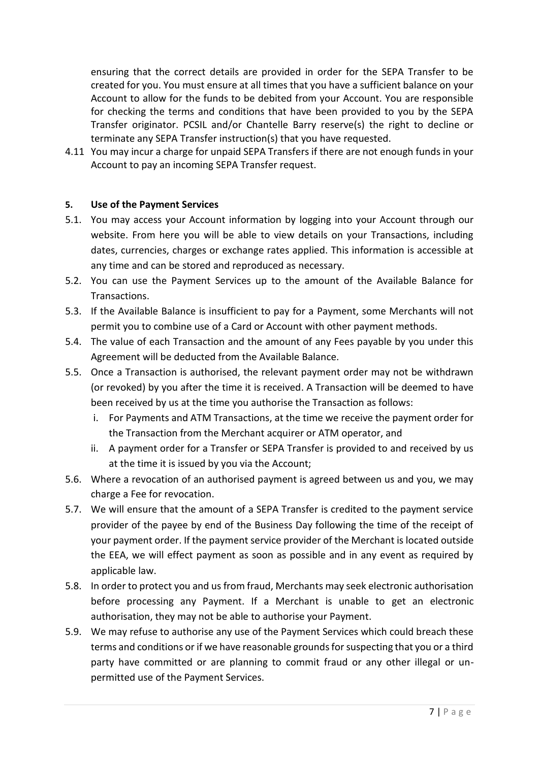ensuring that the correct details are provided in order for the SEPA Transfer to be created for you. You must ensure at all times that you have a sufficient balance on your Account to allow for the funds to be debited from your Account. You are responsible for checking the terms and conditions that have been provided to you by the SEPA Transfer originator. PCSIL and/or Chantelle Barry reserve(s) the right to decline or terminate any SEPA Transfer instruction(s) that you have requested.

4.11 You may incur a charge for unpaid SEPA Transfers if there are not enough funds in your Account to pay an incoming SEPA Transfer request.

#### **5. Use of the Payment Services**

- 5.1. You may access your Account information by logging into your Account through our website. From here you will be able to view details on your Transactions, including dates, currencies, charges or exchange rates applied. This information is accessible at any time and can be stored and reproduced as necessary.
- 5.2. You can use the Payment Services up to the amount of the Available Balance for Transactions.
- 5.3. If the Available Balance is insufficient to pay for a Payment, some Merchants will not permit you to combine use of a Card or Account with other payment methods.
- 5.4. The value of each Transaction and the amount of any Fees payable by you under this Agreement will be deducted from the Available Balance.
- 5.5. Once a Transaction is authorised, the relevant payment order may not be withdrawn (or revoked) by you after the time it is received. A Transaction will be deemed to have been received by us at the time you authorise the Transaction as follows:
	- i. For Payments and ATM Transactions, at the time we receive the payment order for the Transaction from the Merchant acquirer or ATM operator, and
	- ii. A payment order for a Transfer or SEPA Transfer is provided to and received by us at the time it is issued by you via the Account;
- 5.6. Where a revocation of an authorised payment is agreed between us and you, we may charge a Fee for revocation.
- 5.7. We will ensure that the amount of a SEPA Transfer is credited to the payment service provider of the payee by end of the Business Day following the time of the receipt of your payment order. If the payment service provider of the Merchant is located outside the EEA, we will effect payment as soon as possible and in any event as required by applicable law.
- 5.8. In order to protect you and us from fraud, Merchants may seek electronic authorisation before processing any Payment. If a Merchant is unable to get an electronic authorisation, they may not be able to authorise your Payment.
- 5.9. We may refuse to authorise any use of the Payment Services which could breach these terms and conditions or if we have reasonable grounds for suspecting that you or a third party have committed or are planning to commit fraud or any other illegal or unpermitted use of the Payment Services.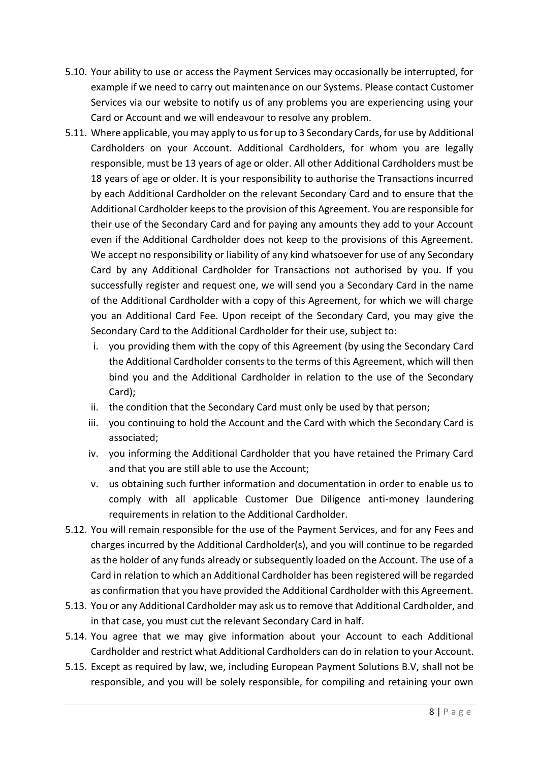- 5.10. Your ability to use or access the Payment Services may occasionally be interrupted, for example if we need to carry out maintenance on our Systems. Please contact Customer Services via our website to notify us of any problems you are experiencing using your Card or Account and we will endeavour to resolve any problem.
- 5.11. Where applicable, you may apply to us for up to 3 Secondary Cards, for use by Additional Cardholders on your Account. Additional Cardholders, for whom you are legally responsible, must be 13 years of age or older. All other Additional Cardholders must be 18 years of age or older. It is your responsibility to authorise the Transactions incurred by each Additional Cardholder on the relevant Secondary Card and to ensure that the Additional Cardholder keeps to the provision of this Agreement. You are responsible for their use of the Secondary Card and for paying any amounts they add to your Account even if the Additional Cardholder does not keep to the provisions of this Agreement. We accept no responsibility or liability of any kind whatsoever for use of any Secondary Card by any Additional Cardholder for Transactions not authorised by you. If you successfully register and request one, we will send you a Secondary Card in the name of the Additional Cardholder with a copy of this Agreement, for which we will charge you an Additional Card Fee. Upon receipt of the Secondary Card, you may give the Secondary Card to the Additional Cardholder for their use, subject to:
	- i. you providing them with the copy of this Agreement (by using the Secondary Card the Additional Cardholder consents to the terms of this Agreement, which will then bind you and the Additional Cardholder in relation to the use of the Secondary Card);
	- ii. the condition that the Secondary Card must only be used by that person;
	- iii. you continuing to hold the Account and the Card with which the Secondary Card is associated;
	- iv. you informing the Additional Cardholder that you have retained the Primary Card and that you are still able to use the Account;
	- v. us obtaining such further information and documentation in order to enable us to comply with all applicable Customer Due Diligence anti-money laundering requirements in relation to the Additional Cardholder.
- 5.12. You will remain responsible for the use of the Payment Services, and for any Fees and charges incurred by the Additional Cardholder(s), and you will continue to be regarded as the holder of any funds already or subsequently loaded on the Account. The use of a Card in relation to which an Additional Cardholder has been registered will be regarded as confirmation that you have provided the Additional Cardholder with this Agreement.
- 5.13. You or any Additional Cardholder may ask us to remove that Additional Cardholder, and in that case, you must cut the relevant Secondary Card in half.
- 5.14. You agree that we may give information about your Account to each Additional Cardholder and restrict what Additional Cardholders can do in relation to your Account.
- 5.15. Except as required by law, we, including European Payment Solutions B.V, shall not be responsible, and you will be solely responsible, for compiling and retaining your own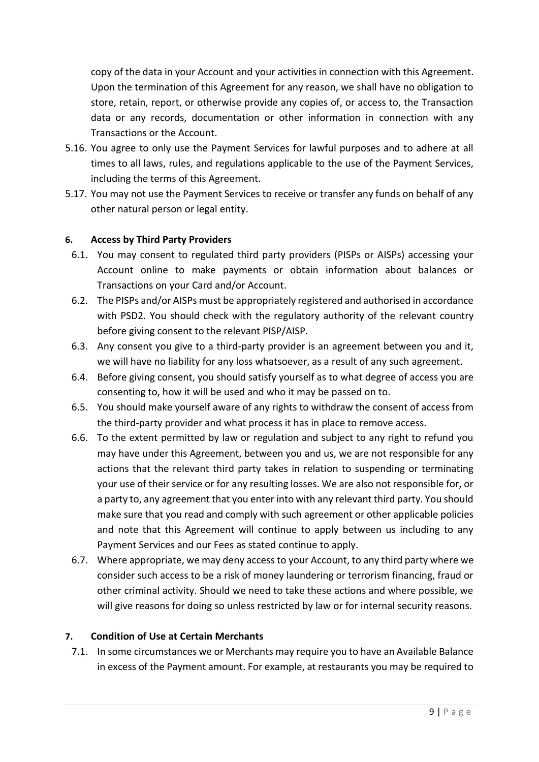copy of the data in your Account and your activities in connection with this Agreement. Upon the termination of this Agreement for any reason, we shall have no obligation to store, retain, report, or otherwise provide any copies of, or access to, the Transaction data or any records, documentation or other information in connection with any Transactions or the Account.

- 5.16. You agree to only use the Payment Services for lawful purposes and to adhere at all times to all laws, rules, and regulations applicable to the use of the Payment Services, including the terms of this Agreement.
- 5.17. You may not use the Payment Services to receive or transfer any funds on behalf of any other natural person or legal entity.

#### **6. Access by Third Party Providers**

- 6.1. You may consent to regulated third party providers (PISPs or AISPs) accessing your Account online to make payments or obtain information about balances or Transactions on your Card and/or Account.
- 6.2. The PISPs and/or AISPs must be appropriately registered and authorised in accordance with PSD2. You should check with the regulatory authority of the relevant country before giving consent to the relevant PISP/AISP.
- 6.3. Any consent you give to a third-party provider is an agreement between you and it, we will have no liability for any loss whatsoever, as a result of any such agreement.
- 6.4. Before giving consent, you should satisfy yourself as to what degree of access you are consenting to, how it will be used and who it may be passed on to.
- 6.5. You should make yourself aware of any rights to withdraw the consent of access from the third-party provider and what process it has in place to remove access.
- 6.6. To the extent permitted by law or regulation and subject to any right to refund you may have under this Agreement, between you and us, we are not responsible for any actions that the relevant third party takes in relation to suspending or terminating your use of their service or for any resulting losses. We are also not responsible for, or a party to, any agreement that you enter into with any relevant third party. You should make sure that you read and comply with such agreement or other applicable policies and note that this Agreement will continue to apply between us including to any Payment Services and our Fees as stated continue to apply.
- 6.7. Where appropriate, we may deny access to your Account, to any third party where we consider such access to be a risk of money laundering or terrorism financing, fraud or other criminal activity. Should we need to take these actions and where possible, we will give reasons for doing so unless restricted by law or for internal security reasons.

#### **7. Condition of Use at Certain Merchants**

7.1. In some circumstances we or Merchants may require you to have an Available Balance in excess of the Payment amount. For example, at restaurants you may be required to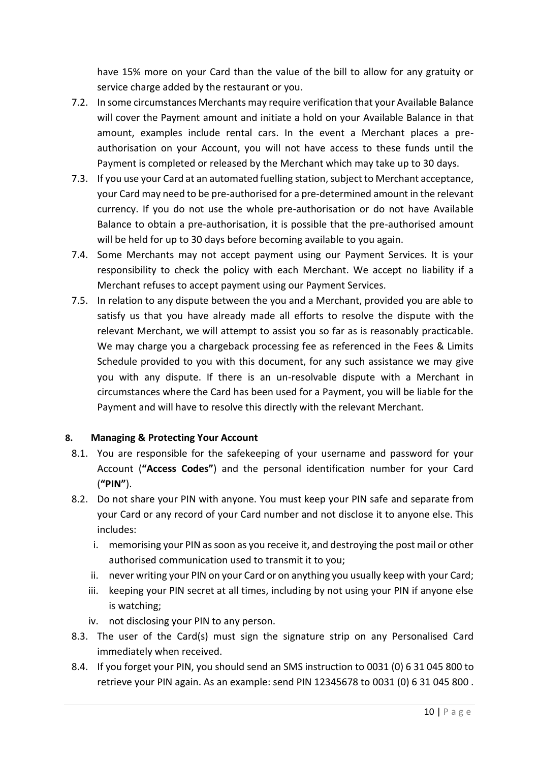have 15% more on your Card than the value of the bill to allow for any gratuity or service charge added by the restaurant or you.

- 7.2. In some circumstances Merchants may require verification that your Available Balance will cover the Payment amount and initiate a hold on your Available Balance in that amount, examples include rental cars. In the event a Merchant places a preauthorisation on your Account, you will not have access to these funds until the Payment is completed or released by the Merchant which may take up to 30 days.
- 7.3. If you use your Card at an automated fuelling station, subject to Merchant acceptance, your Card may need to be pre-authorised for a pre-determined amount in the relevant currency. If you do not use the whole pre-authorisation or do not have Available Balance to obtain a pre-authorisation, it is possible that the pre-authorised amount will be held for up to 30 days before becoming available to you again.
- 7.4. Some Merchants may not accept payment using our Payment Services. It is your responsibility to check the policy with each Merchant. We accept no liability if a Merchant refuses to accept payment using our Payment Services.
- 7.5. In relation to any dispute between the you and a Merchant, provided you are able to satisfy us that you have already made all efforts to resolve the dispute with the relevant Merchant, we will attempt to assist you so far as is reasonably practicable. We may charge you a chargeback processing fee as referenced in the Fees & Limits Schedule provided to you with this document, for any such assistance we may give you with any dispute. If there is an un-resolvable dispute with a Merchant in circumstances where the Card has been used for a Payment, you will be liable for the Payment and will have to resolve this directly with the relevant Merchant.

#### **8. Managing & Protecting Your Account**

- 8.1. You are responsible for the safekeeping of your username and password for your Account (**"Access Codes"**) and the personal identification number for your Card (**"PIN"**).
- 8.2. Do not share your PIN with anyone. You must keep your PIN safe and separate from your Card or any record of your Card number and not disclose it to anyone else. This includes:
	- i. memorising your PIN as soon as you receive it, and destroying the post mail or other authorised communication used to transmit it to you;
	- ii. never writing your PIN on your Card or on anything you usually keep with your Card;
	- iii. keeping your PIN secret at all times, including by not using your PIN if anyone else is watching;
	- iv. not disclosing your PIN to any person.
- 8.3. The user of the Card(s) must sign the signature strip on any Personalised Card immediately when received.
- 8.4. If you forget your PIN, you should send an SMS instruction to 0031 (0) 6 31 045 800 to retrieve your PIN again. As an example: send PIN 12345678 to 0031 (0) 6 31 045 800 .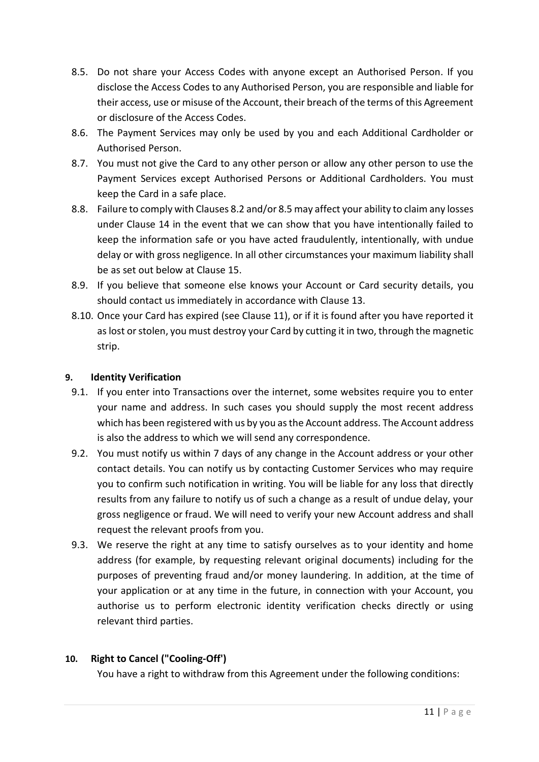- 8.5. Do not share your Access Codes with anyone except an Authorised Person. If you disclose the Access Codes to any Authorised Person, you are responsible and liable for their access, use or misuse of the Account, their breach of the terms of this Agreement or disclosure of the Access Codes.
- 8.6. The Payment Services may only be used by you and each Additional Cardholder or Authorised Person.
- 8.7. You must not give the Card to any other person or allow any other person to use the Payment Services except Authorised Persons or Additional Cardholders. You must keep the Card in a safe place.
- 8.8. Failure to comply with Clauses 8.2 and/or 8.5 may affect your ability to claim any losses under Clause 14 in the event that we can show that you have intentionally failed to keep the information safe or you have acted fraudulently, intentionally, with undue delay or with gross negligence. In all other circumstances your maximum liability shall be as set out below at Clause 15.
- 8.9. If you believe that someone else knows your Account or Card security details, you should contact us immediately in accordance with Clause 13.
- 8.10. Once your Card has expired (see Clause 11), or if it is found after you have reported it as lost or stolen, you must destroy your Card by cutting it in two, through the magnetic strip.

## **9. Identity Verification**

- 9.1. If you enter into Transactions over the internet, some websites require you to enter your name and address. In such cases you should supply the most recent address which has been registered with us by you as the Account address. The Account address is also the address to which we will send any correspondence.
- 9.2. You must notify us within 7 days of any change in the Account address or your other contact details. You can notify us by contacting Customer Services who may require you to confirm such notification in writing. You will be liable for any loss that directly results from any failure to notify us of such a change as a result of undue delay, your gross negligence or fraud. We will need to verify your new Account address and shall request the relevant proofs from you.
- 9.3. We reserve the right at any time to satisfy ourselves as to your identity and home address (for example, by requesting relevant original documents) including for the purposes of preventing fraud and/or money laundering. In addition, at the time of your application or at any time in the future, in connection with your Account, you authorise us to perform electronic identity verification checks directly or using relevant third parties.

#### **10. Right to Cancel ("Cooling-Off')**

You have a right to withdraw from this Agreement under the following conditions: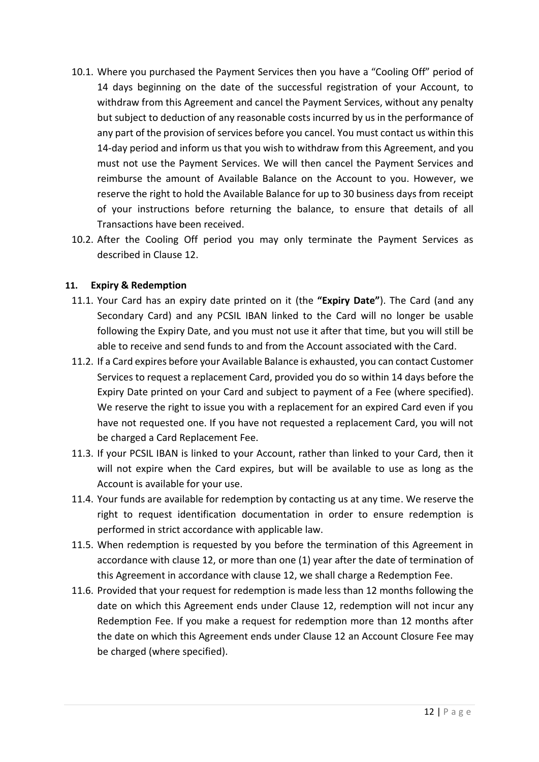- 10.1. Where you purchased the Payment Services then you have a "Cooling Off" period of 14 days beginning on the date of the successful registration of your Account, to withdraw from this Agreement and cancel the Payment Services, without any penalty but subject to deduction of any reasonable costs incurred by us in the performance of any part of the provision of services before you cancel. You must contact us within this 14-day period and inform us that you wish to withdraw from this Agreement, and you must not use the Payment Services. We will then cancel the Payment Services and reimburse the amount of Available Balance on the Account to you. However, we reserve the right to hold the Available Balance for up to 30 business days from receipt of your instructions before returning the balance, to ensure that details of all Transactions have been received.
- 10.2. After the Cooling Off period you may only terminate the Payment Services as described in Clause 12.

#### **11. Expiry & Redemption**

- 11.1. Your Card has an expiry date printed on it (the **"Expiry Date"**). The Card (and any Secondary Card) and any PCSIL IBAN linked to the Card will no longer be usable following the Expiry Date, and you must not use it after that time, but you will still be able to receive and send funds to and from the Account associated with the Card.
- 11.2. If a Card expires before your Available Balance is exhausted, you can contact Customer Services to request a replacement Card, provided you do so within 14 days before the Expiry Date printed on your Card and subject to payment of a Fee (where specified). We reserve the right to issue you with a replacement for an expired Card even if you have not requested one. If you have not requested a replacement Card, you will not be charged a Card Replacement Fee.
- 11.3. If your PCSIL IBAN is linked to your Account, rather than linked to your Card, then it will not expire when the Card expires, but will be available to use as long as the Account is available for your use.
- 11.4. Your funds are available for redemption by contacting us at any time. We reserve the right to request identification documentation in order to ensure redemption is performed in strict accordance with applicable law.
- 11.5. When redemption is requested by you before the termination of this Agreement in accordance with clause 12, or more than one (1) year after the date of termination of this Agreement in accordance with clause 12, we shall charge a Redemption Fee.
- 11.6. Provided that your request for redemption is made less than 12 months following the date on which this Agreement ends under Clause 12, redemption will not incur any Redemption Fee. If you make a request for redemption more than 12 months after the date on which this Agreement ends under Clause 12 an Account Closure Fee may be charged (where specified).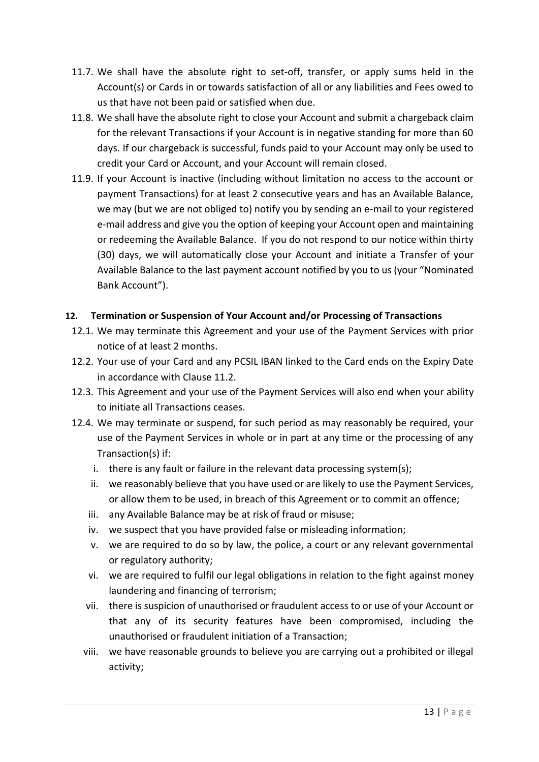- 11.7. We shall have the absolute right to set-off, transfer, or apply sums held in the Account(s) or Cards in or towards satisfaction of all or any liabilities and Fees owed to us that have not been paid or satisfied when due.
- 11.8. We shall have the absolute right to close your Account and submit a chargeback claim for the relevant Transactions if your Account is in negative standing for more than 60 days. If our chargeback is successful, funds paid to your Account may only be used to credit your Card or Account, and your Account will remain closed.
- 11.9. If your Account is inactive (including without limitation no access to the account or payment Transactions) for at least 2 consecutive years and has an Available Balance, we may (but we are not obliged to) notify you by sending an e-mail to your registered e-mail address and give you the option of keeping your Account open and maintaining or redeeming the Available Balance. If you do not respond to our notice within thirty (30) days, we will automatically close your Account and initiate a Transfer of your Available Balance to the last payment account notified by you to us (your "Nominated Bank Account").

#### **12. Termination or Suspension of Your Account and/or Processing of Transactions**

- 12.1. We may terminate this Agreement and your use of the Payment Services with prior notice of at least 2 months.
- 12.2. Your use of your Card and any PCSIL IBAN linked to the Card ends on the Expiry Date in accordance with Clause 11.2.
- 12.3. This Agreement and your use of the Payment Services will also end when your ability to initiate all Transactions ceases.
- 12.4. We may terminate or suspend, for such period as may reasonably be required, your use of the Payment Services in whole or in part at any time or the processing of any Transaction(s) if:
	- i. there is any fault or failure in the relevant data processing system(s);
	- ii. we reasonably believe that you have used or are likely to use the Payment Services, or allow them to be used, in breach of this Agreement or to commit an offence;
	- iii. any Available Balance may be at risk of fraud or misuse;
	- iv. we suspect that you have provided false or misleading information;
	- v. we are required to do so by law, the police, a court or any relevant governmental or regulatory authority;
	- vi. we are required to fulfil our legal obligations in relation to the fight against money laundering and financing of terrorism;
	- vii. there is suspicion of unauthorised or fraudulent access to or use of your Account or that any of its security features have been compromised, including the unauthorised or fraudulent initiation of a Transaction;
	- viii. we have reasonable grounds to believe you are carrying out a prohibited or illegal activity;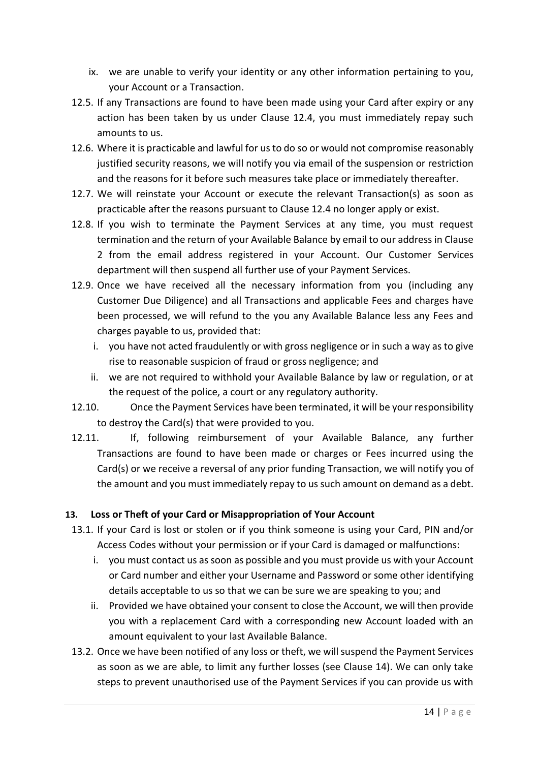- ix. we are unable to verify your identity or any other information pertaining to you, your Account or a Transaction.
- 12.5. If any Transactions are found to have been made using your Card after expiry or any action has been taken by us under Clause 12.4, you must immediately repay such amounts to us.
- 12.6. Where it is practicable and lawful for us to do so or would not compromise reasonably justified security reasons, we will notify you via email of the suspension or restriction and the reasons for it before such measures take place or immediately thereafter.
- 12.7. We will reinstate your Account or execute the relevant Transaction(s) as soon as practicable after the reasons pursuant to Clause 12.4 no longer apply or exist.
- 12.8. If you wish to terminate the Payment Services at any time, you must request termination and the return of your Available Balance by email to our address in Clause 2 from the email address registered in your Account. Our Customer Services department will then suspend all further use of your Payment Services.
- 12.9. Once we have received all the necessary information from you (including any Customer Due Diligence) and all Transactions and applicable Fees and charges have been processed, we will refund to the you any Available Balance less any Fees and charges payable to us, provided that:
	- i. you have not acted fraudulently or with gross negligence or in such a way as to give rise to reasonable suspicion of fraud or gross negligence; and
	- ii. we are not required to withhold your Available Balance by law or regulation, or at the request of the police, a court or any regulatory authority.
- 12.10. Once the Payment Services have been terminated, it will be your responsibility to destroy the Card(s) that were provided to you.
- 12.11. If, following reimbursement of your Available Balance, any further Transactions are found to have been made or charges or Fees incurred using the Card(s) or we receive a reversal of any prior funding Transaction, we will notify you of the amount and you must immediately repay to us such amount on demand as a debt.

#### **13. Loss or Theft of your Card or Misappropriation of Your Account**

- 13.1. If your Card is lost or stolen or if you think someone is using your Card, PIN and/or Access Codes without your permission or if your Card is damaged or malfunctions:
	- i. you must contact us as soon as possible and you must provide us with your Account or Card number and either your Username and Password or some other identifying details acceptable to us so that we can be sure we are speaking to you; and
	- ii. Provided we have obtained your consent to close the Account, we will then provide you with a replacement Card with a corresponding new Account loaded with an amount equivalent to your last Available Balance.
- 13.2. Once we have been notified of any loss or theft, we will suspend the Payment Services as soon as we are able, to limit any further losses (see Clause 14). We can only take steps to prevent unauthorised use of the Payment Services if you can provide us with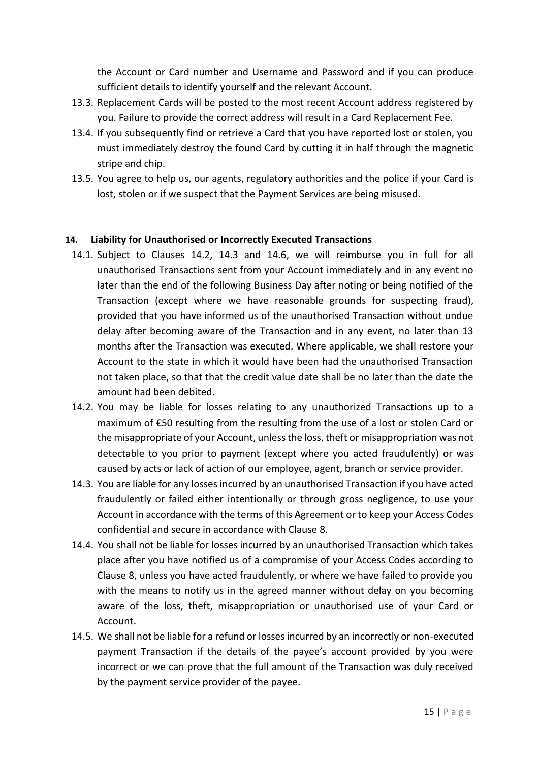the Account or Card number and Username and Password and if you can produce sufficient details to identify yourself and the relevant Account.

- 13.3. Replacement Cards will be posted to the most recent Account address registered by you. Failure to provide the correct address will result in a Card Replacement Fee.
- 13.4. If you subsequently find or retrieve a Card that you have reported lost or stolen, you must immediately destroy the found Card by cutting it in half through the magnetic stripe and chip.
- 13.5. You agree to help us, our agents, regulatory authorities and the police if your Card is lost, stolen or if we suspect that the Payment Services are being misused.

#### **14. Liability for Unauthorised or Incorrectly Executed Transactions**

- 14.1. Subject to Clauses 14.2, 14.3 and 14.6, we will reimburse you in full for all unauthorised Transactions sent from your Account immediately and in any event no later than the end of the following Business Day after noting or being notified of the Transaction (except where we have reasonable grounds for suspecting fraud), provided that you have informed us of the unauthorised Transaction without undue delay after becoming aware of the Transaction and in any event, no later than 13 months after the Transaction was executed. Where applicable, we shall restore your Account to the state in which it would have been had the unauthorised Transaction not taken place, so that that the credit value date shall be no later than the date the amount had been debited.
- 14.2. You may be liable for losses relating to any unauthorized Transactions up to a maximum of €50 resulting from the resulting from the use of a lost or stolen Card or the misappropriate of your Account, unless the loss, theft or misappropriation was not detectable to you prior to payment (except where you acted fraudulently) or was caused by acts or lack of action of our employee, agent, branch or service provider.
- 14.3. You are liable for any losses incurred by an unauthorised Transaction if you have acted fraudulently or failed either intentionally or through gross negligence, to use your Account in accordance with the terms of this Agreement or to keep your Access Codes confidential and secure in accordance with Clause 8.
- 14.4. You shall not be liable for losses incurred by an unauthorised Transaction which takes place after you have notified us of a compromise of your Access Codes according to Clause 8, unless you have acted fraudulently, or where we have failed to provide you with the means to notify us in the agreed manner without delay on you becoming aware of the loss, theft, misappropriation or unauthorised use of your Card or Account.
- 14.5. We shall not be liable for a refund or losses incurred by an incorrectly or non-executed payment Transaction if the details of the payee's account provided by you were incorrect or we can prove that the full amount of the Transaction was duly received by the payment service provider of the payee.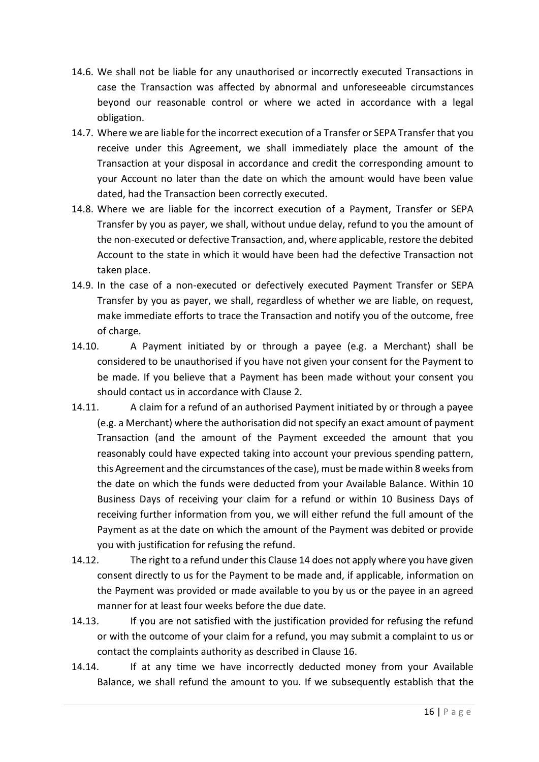- 14.6. We shall not be liable for any unauthorised or incorrectly executed Transactions in case the Transaction was affected by abnormal and unforeseeable circumstances beyond our reasonable control or where we acted in accordance with a legal obligation.
- 14.7. Where we are liable for the incorrect execution of a Transfer or SEPA Transfer that you receive under this Agreement, we shall immediately place the amount of the Transaction at your disposal in accordance and credit the corresponding amount to your Account no later than the date on which the amount would have been value dated, had the Transaction been correctly executed.
- 14.8. Where we are liable for the incorrect execution of a Payment, Transfer or SEPA Transfer by you as payer, we shall, without undue delay, refund to you the amount of the non-executed or defective Transaction, and, where applicable, restore the debited Account to the state in which it would have been had the defective Transaction not taken place.
- 14.9. In the case of a non-executed or defectively executed Payment Transfer or SEPA Transfer by you as payer, we shall, regardless of whether we are liable, on request, make immediate efforts to trace the Transaction and notify you of the outcome, free of charge.
- 14.10. A Payment initiated by or through a payee (e.g. a Merchant) shall be considered to be unauthorised if you have not given your consent for the Payment to be made. If you believe that a Payment has been made without your consent you should contact us in accordance with Clause 2.
- 14.11. A claim for a refund of an authorised Payment initiated by or through a payee (e.g. a Merchant) where the authorisation did not specify an exact amount of payment Transaction (and the amount of the Payment exceeded the amount that you reasonably could have expected taking into account your previous spending pattern, this Agreement and the circumstances of the case), must be made within 8 weeks from the date on which the funds were deducted from your Available Balance. Within 10 Business Days of receiving your claim for a refund or within 10 Business Days of receiving further information from you, we will either refund the full amount of the Payment as at the date on which the amount of the Payment was debited or provide you with justification for refusing the refund.
- 14.12. The right to a refund under this Clause 14 does not apply where you have given consent directly to us for the Payment to be made and, if applicable, information on the Payment was provided or made available to you by us or the payee in an agreed manner for at least four weeks before the due date.
- 14.13. If you are not satisfied with the justification provided for refusing the refund or with the outcome of your claim for a refund, you may submit a complaint to us or contact the complaints authority as described in Clause 16.
- 14.14. If at any time we have incorrectly deducted money from your Available Balance, we shall refund the amount to you. If we subsequently establish that the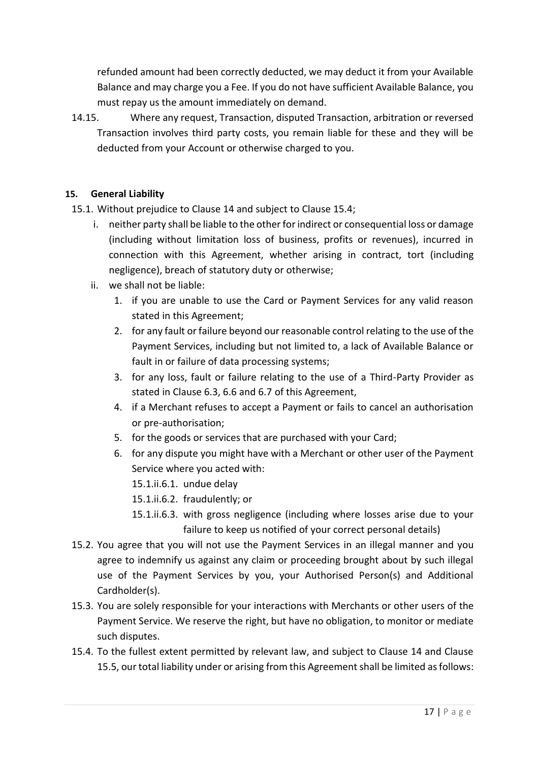refunded amount had been correctly deducted, we may deduct it from your Available Balance and may charge you a Fee. If you do not have sufficient Available Balance, you must repay us the amount immediately on demand.

14.15. Where any request, Transaction, disputed Transaction, arbitration or reversed Transaction involves third party costs, you remain liable for these and they will be deducted from your Account or otherwise charged to you.

#### **15. General Liability**

15.1. Without prejudice to Clause 14 and subject to Clause 15.4;

- i. neither party shall be liable to the other for indirect or consequential loss or damage (including without limitation loss of business, profits or revenues), incurred in connection with this Agreement, whether arising in contract, tort (including negligence), breach of statutory duty or otherwise;
- ii. we shall not be liable:
	- 1. if you are unable to use the Card or Payment Services for any valid reason stated in this Agreement;
	- 2. for any fault or failure beyond our reasonable control relating to the use of the Payment Services, including but not limited to, a lack of Available Balance or fault in or failure of data processing systems;
	- 3. for any loss, fault or failure relating to the use of a Third-Party Provider as stated in Clause 6.3, 6.6 and 6.7 of this Agreement,
	- 4. if a Merchant refuses to accept a Payment or fails to cancel an authorisation or pre-authorisation;
	- 5. for the goods or services that are purchased with your Card;
	- 6. for any dispute you might have with a Merchant or other user of the Payment Service where you acted with:
		- 15.1.ii.6.1. undue delay
		- 15.1.ii.6.2. fraudulently; or
		- 15.1.ii.6.3. with gross negligence (including where losses arise due to your failure to keep us notified of your correct personal details)
- 15.2. You agree that you will not use the Payment Services in an illegal manner and you agree to indemnify us against any claim or proceeding brought about by such illegal use of the Payment Services by you, your Authorised Person(s) and Additional Cardholder(s).
- 15.3. You are solely responsible for your interactions with Merchants or other users of the Payment Service. We reserve the right, but have no obligation, to monitor or mediate such disputes.
- 15.4. To the fullest extent permitted by relevant law, and subject to Clause 14 and Clause 15.5, our total liability under or arising from this Agreement shall be limited as follows: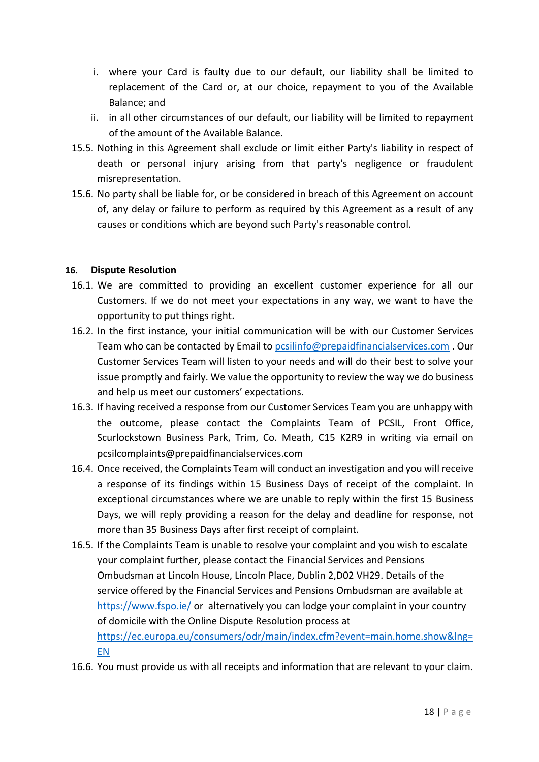- i. where your Card is faulty due to our default, our liability shall be limited to replacement of the Card or, at our choice, repayment to you of the Available Balance; and
- ii. in all other circumstances of our default, our liability will be limited to repayment of the amount of the Available Balance.
- 15.5. Nothing in this Agreement shall exclude or limit either Party's liability in respect of death or personal injury arising from that party's negligence or fraudulent misrepresentation.
- 15.6. No party shall be liable for, or be considered in breach of this Agreement on account of, any delay or failure to perform as required by this Agreement as a result of any causes or conditions which are beyond such Party's reasonable control.

#### **16. Dispute Resolution**

- 16.1. We are committed to providing an excellent customer experience for all our Customers. If we do not meet your expectations in any way, we want to have the opportunity to put things right.
- 16.2. In the first instance, your initial communication will be with our Customer Services Team who can be contacted by Email to [pcsilinfo@prepaidfinancialservices.com](mailto:pcsilinfo@prepaidfinancialservices.com) . Our Customer Services Team will listen to your needs and will do their best to solve your issue promptly and fairly. We value the opportunity to review the way we do business and help us meet our customers' expectations.
- 16.3. If having received a response from our Customer Services Team you are unhappy with the outcome, please contact the Complaints Team of PCSIL, Front Office, Scurlockstown Business Park, Trim, Co. Meath, C15 K2R9 in writing via email on pcsilcomplaints@prepaidfinancialservices.com
- 16.4. Once received, the Complaints Team will conduct an investigation and you will receive a response of its findings within 15 Business Days of receipt of the complaint. In exceptional circumstances where we are unable to reply within the first 15 Business Days, we will reply providing a reason for the delay and deadline for response, not more than 35 Business Days after first receipt of complaint.
- 16.5. If the Complaints Team is unable to resolve your complaint and you wish to escalate your complaint further, please contact the Financial Services and Pensions Ombudsman at Lincoln House, Lincoln Place, Dublin 2,D02 VH29. Details of the service offered by the Financial Services and Pensions Ombudsman are available at https://www.fspo.ie/ or alternatively you can lodge your complaint in your country of domicile with the Online Dispute Resolution process at [https://ec.europa.eu/consumers/odr/main/index.cfm?event=main.home.show&lng=](https://ec.europa.eu/consumers/odr/main/index.cfm?event=main.home.show&lng=EN) [EN](https://ec.europa.eu/consumers/odr/main/index.cfm?event=main.home.show&lng=EN)
- 16.6. You must provide us with all receipts and information that are relevant to your claim.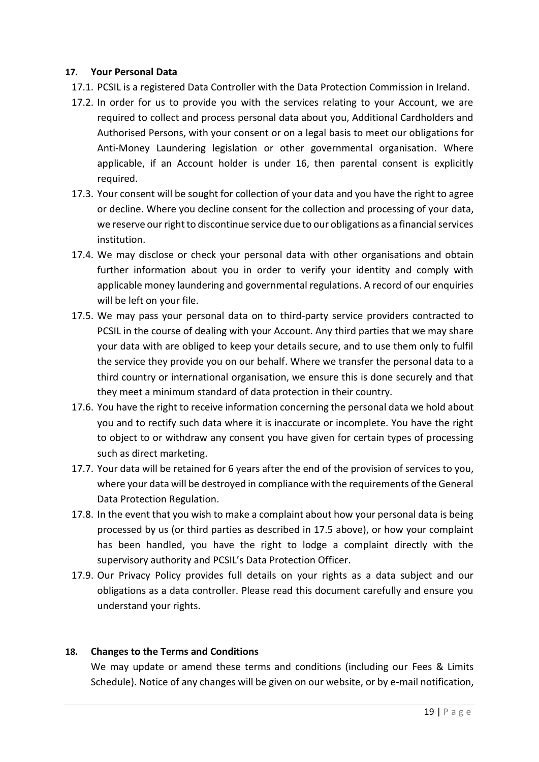#### **17. Your Personal Data**

- 17.1. PCSIL is a registered Data Controller with the Data Protection Commission in Ireland.
- 17.2. In order for us to provide you with the services relating to your Account, we are required to collect and process personal data about you, Additional Cardholders and Authorised Persons, with your consent or on a legal basis to meet our obligations for Anti-Money Laundering legislation or other governmental organisation. Where applicable, if an Account holder is under 16, then parental consent is explicitly required.
- 17.3. Your consent will be sought for collection of your data and you have the right to agree or decline. Where you decline consent for the collection and processing of your data, we reserve our right to discontinue service due to our obligations as a financial services institution.
- 17.4. We may disclose or check your personal data with other organisations and obtain further information about you in order to verify your identity and comply with applicable money laundering and governmental regulations. A record of our enquiries will be left on your file.
- 17.5. We may pass your personal data on to third-party service providers contracted to PCSIL in the course of dealing with your Account. Any third parties that we may share your data with are obliged to keep your details secure, and to use them only to fulfil the service they provide you on our behalf. Where we transfer the personal data to a third country or international organisation, we ensure this is done securely and that they meet a minimum standard of data protection in their country.
- 17.6. You have the right to receive information concerning the personal data we hold about you and to rectify such data where it is inaccurate or incomplete. You have the right to object to or withdraw any consent you have given for certain types of processing such as direct marketing.
- 17.7. Your data will be retained for 6 years after the end of the provision of services to you, where your data will be destroyed in compliance with the requirements of the General Data Protection Regulation.
- 17.8. In the event that you wish to make a complaint about how your personal data is being processed by us (or third parties as described in 17.5 above), or how your complaint has been handled, you have the right to lodge a complaint directly with the supervisory authority and PCSIL's Data Protection Officer.
- 17.9. Our Privacy Policy provides full details on your rights as a data subject and our obligations as a data controller. Please read this document carefully and ensure you understand your rights.

#### **18. Changes to the Terms and Conditions**

We may update or amend these terms and conditions (including our Fees & Limits Schedule). Notice of any changes will be given on our website, or by e-mail notification,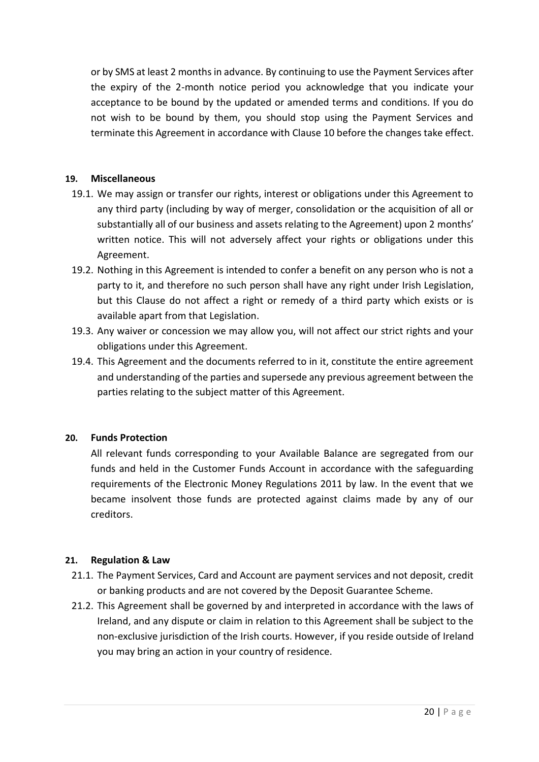or by SMS at least 2 months in advance. By continuing to use the Payment Services after the expiry of the 2-month notice period you acknowledge that you indicate your acceptance to be bound by the updated or amended terms and conditions. If you do not wish to be bound by them, you should stop using the Payment Services and terminate this Agreement in accordance with Clause 10 before the changes take effect.

#### **19. Miscellaneous**

- 19.1. We may assign or transfer our rights, interest or obligations under this Agreement to any third party (including by way of merger, consolidation or the acquisition of all or substantially all of our business and assets relating to the Agreement) upon 2 months' written notice. This will not adversely affect your rights or obligations under this Agreement.
- 19.2. Nothing in this Agreement is intended to confer a benefit on any person who is not a party to it, and therefore no such person shall have any right under Irish Legislation, but this Clause do not affect a right or remedy of a third party which exists or is available apart from that Legislation.
- 19.3. Any waiver or concession we may allow you, will not affect our strict rights and your obligations under this Agreement.
- 19.4. This Agreement and the documents referred to in it, constitute the entire agreement and understanding of the parties and supersede any previous agreement between the parties relating to the subject matter of this Agreement.

#### **20. Funds Protection**

All relevant funds corresponding to your Available Balance are segregated from our funds and held in the Customer Funds Account in accordance with the safeguarding requirements of the Electronic Money Regulations 2011 by law. In the event that we became insolvent those funds are protected against claims made by any of our creditors.

#### **21. Regulation & Law**

- 21.1. The Payment Services, Card and Account are payment services and not deposit, credit or banking products and are not covered by the Deposit Guarantee Scheme.
- 21.2. This Agreement shall be governed by and interpreted in accordance with the laws of Ireland, and any dispute or claim in relation to this Agreement shall be subject to the non-exclusive jurisdiction of the Irish courts. However, if you reside outside of Ireland you may bring an action in your country of residence.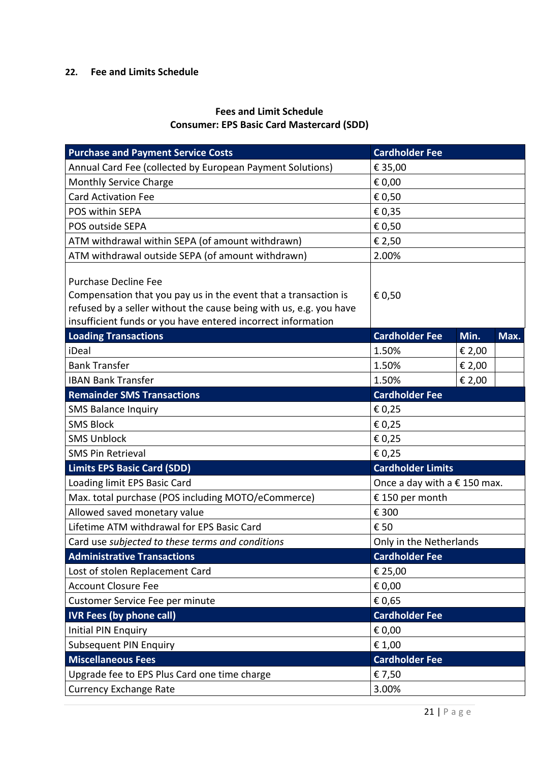## **22. Fee and Limits Schedule**

## **Fees and Limit Schedule Consumer: EPS Basic Card Mastercard (SDD)**

| <b>Purchase and Payment Service Costs</b>                                                                                                                                                                                            | <b>Cardholder Fee</b>                 |        |      |
|--------------------------------------------------------------------------------------------------------------------------------------------------------------------------------------------------------------------------------------|---------------------------------------|--------|------|
| Annual Card Fee (collected by European Payment Solutions)                                                                                                                                                                            | € 35,00                               |        |      |
| Monthly Service Charge                                                                                                                                                                                                               | € 0,00                                |        |      |
| <b>Card Activation Fee</b>                                                                                                                                                                                                           | € 0,50                                |        |      |
| POS within SEPA                                                                                                                                                                                                                      | € 0,35                                |        |      |
| POS outside SEPA                                                                                                                                                                                                                     | € 0,50                                |        |      |
| ATM withdrawal within SEPA (of amount withdrawn)                                                                                                                                                                                     | € 2,50                                |        |      |
| ATM withdrawal outside SEPA (of amount withdrawn)                                                                                                                                                                                    | 2.00%                                 |        |      |
| <b>Purchase Decline Fee</b><br>Compensation that you pay us in the event that a transaction is<br>refused by a seller without the cause being with us, e.g. you have<br>insufficient funds or you have entered incorrect information | € 0,50                                |        |      |
| <b>Loading Transactions</b>                                                                                                                                                                                                          | <b>Cardholder Fee</b>                 | Min.   | Max. |
| iDeal                                                                                                                                                                                                                                | 1.50%                                 | € 2,00 |      |
| <b>Bank Transfer</b>                                                                                                                                                                                                                 | 1.50%                                 | € 2,00 |      |
| <b>IBAN Bank Transfer</b>                                                                                                                                                                                                            | 1.50%                                 | € 2,00 |      |
| <b>Remainder SMS Transactions</b>                                                                                                                                                                                                    | <b>Cardholder Fee</b>                 |        |      |
| <b>SMS Balance Inquiry</b>                                                                                                                                                                                                           | € 0,25                                |        |      |
| <b>SMS Block</b>                                                                                                                                                                                                                     | € 0,25                                |        |      |
| <b>SMS Unblock</b>                                                                                                                                                                                                                   | € 0,25                                |        |      |
| <b>SMS Pin Retrieval</b>                                                                                                                                                                                                             | € 0,25                                |        |      |
| <b>Limits EPS Basic Card (SDD)</b>                                                                                                                                                                                                   | <b>Cardholder Limits</b>              |        |      |
| Loading limit EPS Basic Card                                                                                                                                                                                                         | Once a day with a $\epsilon$ 150 max. |        |      |
| Max. total purchase (POS including MOTO/eCommerce)                                                                                                                                                                                   | €150 per month                        |        |      |
| Allowed saved monetary value                                                                                                                                                                                                         | € 300                                 |        |      |
| Lifetime ATM withdrawal for EPS Basic Card                                                                                                                                                                                           | € 50                                  |        |      |
| Card use subjected to these terms and conditions                                                                                                                                                                                     | Only in the Netherlands               |        |      |
| <b>Administrative Transactions</b>                                                                                                                                                                                                   | <b>Cardholder Fee</b>                 |        |      |
| Lost of stolen Replacement Card                                                                                                                                                                                                      | € 25,00                               |        |      |
| <b>Account Closure Fee</b>                                                                                                                                                                                                           | € 0,00                                |        |      |
| Customer Service Fee per minute                                                                                                                                                                                                      | € 0,65                                |        |      |
| <b>IVR Fees (by phone call)</b>                                                                                                                                                                                                      | <b>Cardholder Fee</b>                 |        |      |
| <b>Initial PIN Enquiry</b>                                                                                                                                                                                                           | € 0,00                                |        |      |
| <b>Subsequent PIN Enquiry</b>                                                                                                                                                                                                        | € 1,00                                |        |      |
| <b>Miscellaneous Fees</b>                                                                                                                                                                                                            | <b>Cardholder Fee</b>                 |        |      |
| Upgrade fee to EPS Plus Card one time charge                                                                                                                                                                                         | € 7,50                                |        |      |
| <b>Currency Exchange Rate</b>                                                                                                                                                                                                        | 3.00%                                 |        |      |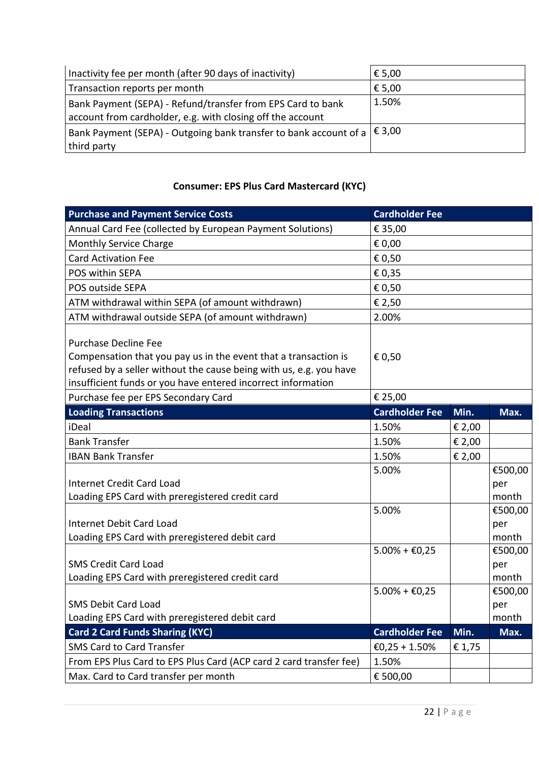| Inactivity fee per month (after 90 days of inactivity)                                                                    | € 5,00 |
|---------------------------------------------------------------------------------------------------------------------------|--------|
| Transaction reports per month                                                                                             | € 5,00 |
| Bank Payment (SEPA) - Refund/transfer from EPS Card to bank<br>account from cardholder, e.g. with closing off the account | 1.50%  |
| Bank Payment (SEPA) - Outgoing bank transfer to bank account of a $ \,\epsilon\,$ 3,00<br>third party                     |        |

## **Consumer: EPS Plus Card Mastercard (KYC)**

| <b>Purchase and Payment Service Costs</b>                                                                                                                                                                                            | <b>Cardholder Fee</b>               |        |                         |
|--------------------------------------------------------------------------------------------------------------------------------------------------------------------------------------------------------------------------------------|-------------------------------------|--------|-------------------------|
| Annual Card Fee (collected by European Payment Solutions)                                                                                                                                                                            | € 35,00                             |        |                         |
| Monthly Service Charge                                                                                                                                                                                                               | € 0,00                              |        |                         |
| <b>Card Activation Fee</b>                                                                                                                                                                                                           | € 0,50                              |        |                         |
| POS within SEPA                                                                                                                                                                                                                      | € 0,35                              |        |                         |
| POS outside SEPA                                                                                                                                                                                                                     | € 0,50                              |        |                         |
| ATM withdrawal within SEPA (of amount withdrawn)                                                                                                                                                                                     | € 2,50                              |        |                         |
| ATM withdrawal outside SEPA (of amount withdrawn)                                                                                                                                                                                    | 2.00%                               |        |                         |
| <b>Purchase Decline Fee</b><br>Compensation that you pay us in the event that a transaction is<br>refused by a seller without the cause being with us, e.g. you have<br>insufficient funds or you have entered incorrect information | € 0,50                              |        |                         |
| Purchase fee per EPS Secondary Card                                                                                                                                                                                                  | € 25,00                             |        |                         |
| <b>Loading Transactions</b>                                                                                                                                                                                                          | <b>Cardholder Fee</b>               | Min.   | Max.                    |
| iDeal                                                                                                                                                                                                                                | 1.50%                               | € 2,00 |                         |
| <b>Bank Transfer</b>                                                                                                                                                                                                                 | 1.50%                               | € 2,00 |                         |
| <b>IBAN Bank Transfer</b>                                                                                                                                                                                                            | 1.50%                               | € 2,00 |                         |
| <b>Internet Credit Card Load</b><br>Loading EPS Card with preregistered credit card                                                                                                                                                  | 5.00%                               |        | €500,00<br>per<br>month |
| Internet Debit Card Load<br>Loading EPS Card with preregistered debit card                                                                                                                                                           | 5.00%                               |        | €500,00<br>per<br>month |
| <b>SMS Credit Card Load</b><br>Loading EPS Card with preregistered credit card                                                                                                                                                       | $5.00\% + \text{\textsterling}0.25$ |        | €500,00<br>per<br>month |
| <b>SMS Debit Card Load</b><br>Loading EPS Card with preregistered debit card                                                                                                                                                         | $5.00\% + \text{\textsterling}0.25$ |        | €500,00<br>per<br>month |
| <b>Card 2 Card Funds Sharing (KYC)</b>                                                                                                                                                                                               | <b>Cardholder Fee</b>               | Min.   | Max.                    |
| SMS Card to Card Transfer                                                                                                                                                                                                            | €0,25 + 1.50%                       | € 1,75 |                         |
| From EPS Plus Card to EPS Plus Card (ACP card 2 card transfer fee)                                                                                                                                                                   | 1.50%                               |        |                         |
| Max. Card to Card transfer per month                                                                                                                                                                                                 | € 500,00                            |        |                         |